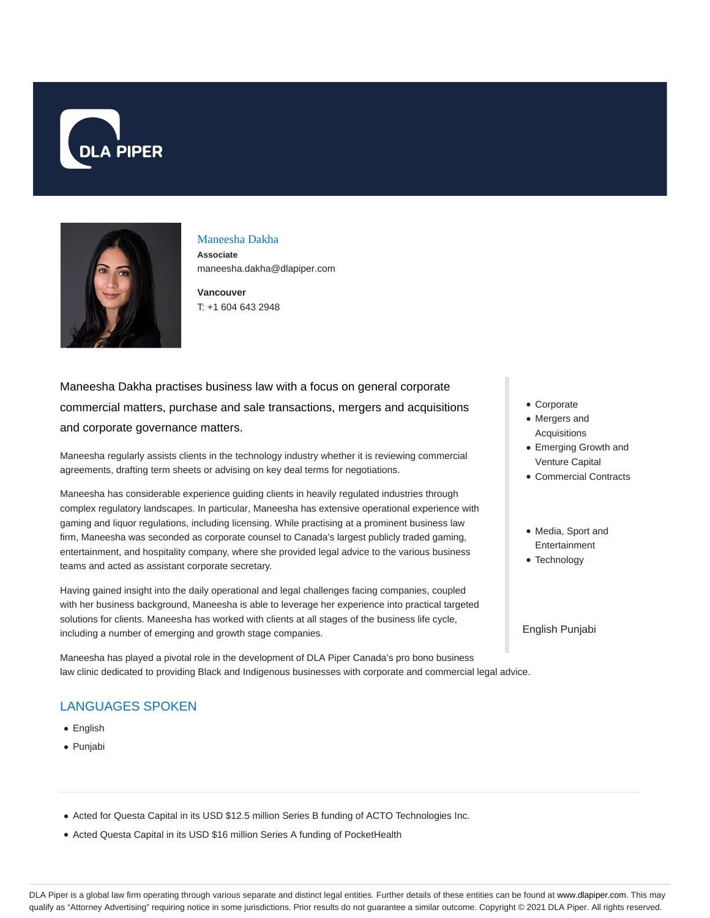



#### Maneesha Dakha

**Associate** maneesha.dakha@dlapiper.com

**Vancouver** T: +1 604 643 2948

# Maneesha Dakha practises business law with a focus on general corporate commercial matters, purchase and sale transactions, mergers and acquisitions and corporate governance matters.

Maneesha regularly assists clients in the technology industry whether it is reviewing commercial agreements, drafting term sheets or advising on key deal terms for negotiations.

Maneesha has considerable experience guiding clients in heavily regulated industries through complex regulatory landscapes. In particular, Maneesha has extensive operational experience with gaming and liquor regulations, including licensing. While practising at a prominent business law firm, Maneesha was seconded as corporate counsel to Canada's largest publicly traded gaming, entertainment, and hospitality company, where she provided legal advice to the various business teams and acted as assistant corporate secretary.

Having gained insight into the daily operational and legal challenges facing companies, coupled with her business background, Maneesha is able to leverage her experience into practical targeted solutions for clients. Maneesha has worked with clients at all stages of the business life cycle, including a number of emerging and growth stage companies.

Maneesha has played a pivotal role in the development of DLA Piper Canada's pro bono business law clinic dedicated to providing Black and Indigenous businesses with corporate and commercial legal advice.

# LANGUAGES SPOKEN

- English
- Punjabi
- Corporate
- Mergers and Acquisitions
- Emerging Growth and Venture Capital
- Commercial Contracts
- Media, Sport and Entertainment
- Technology

English Punjabi

- Acted for Questa Capital in its USD \$12.5 million Series B funding of ACTO Technologies Inc.
- Acted Questa Capital in its USD \$16 million Series A funding of PocketHealth

DLA Piper is a global law firm operating through various separate and distinct legal entities. Further details of these entities can be found at www.dlapiper.com. This may qualify as "Attorney Advertising" requiring notice in some jurisdictions. Prior results do not guarantee a similar outcome. Copyright @ 2021 DLA Piper. All rights reserved.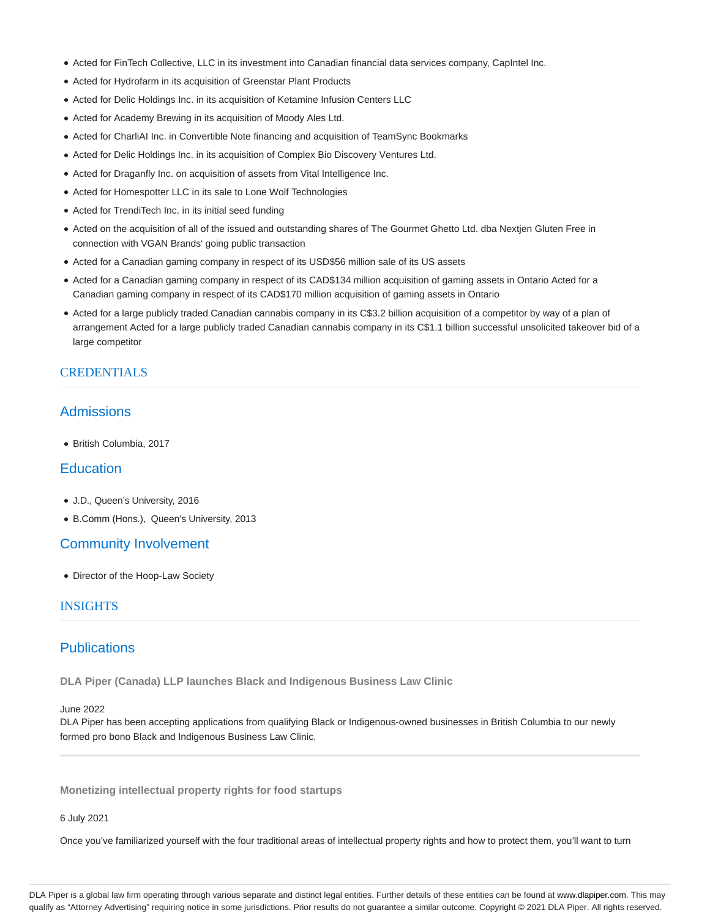- Acted for FinTech Collective, LLC in its investment into Canadian financial data services company, CapIntel Inc.
- Acted for Hydrofarm in its acquisition of Greenstar Plant Products
- Acted for Delic Holdings Inc. in its acquisition of Ketamine Infusion Centers LLC
- Acted for Academy Brewing in its acquisition of Moody Ales Ltd.
- Acted for CharliAI Inc. in Convertible Note financing and acquisition of TeamSync Bookmarks
- Acted for Delic Holdings Inc. in its acquisition of Complex Bio Discovery Ventures Ltd.
- Acted for Draganfly Inc. on acquisition of assets from Vital Intelligence Inc.
- Acted for Homespotter LLC in its sale to Lone Wolf Technologies
- Acted for TrendiTech Inc. in its initial seed funding
- Acted on the acquisition of all of the issued and outstanding shares of The Gourmet Ghetto Ltd. dba Nextjen Gluten Free in connection with VGAN Brands' going public transaction
- Acted for a Canadian gaming company in respect of its USD\$56 million sale of its US assets
- Acted for a Canadian gaming company in respect of its CAD\$134 million acquisition of gaming assets in Ontario Acted for a Canadian gaming company in respect of its CAD\$170 million acquisition of gaming assets in Ontario
- Acted for a large publicly traded Canadian cannabis company in its C\$3.2 billion acquisition of a competitor by way of a plan of arrangement Acted for a large publicly traded Canadian cannabis company in its C\$1.1 billion successful unsolicited takeover bid of a large competitor

### CREDENTIALS

# Admissions

British Columbia, 2017

# **Education**

- J.D., Queen's University, 2016
- B.Comm (Hons.), Queen's University, 2013

# Community Involvement

• Director of the Hoop-Law Society

### INSIGHTS

# **Publications**

**DLA Piper (Canada) LLP launches Black and Indigenous Business Law Clinic**

#### June 2022

DLA Piper has been accepting applications from qualifying Black or Indigenous-owned businesses in British Columbia to our newly formed pro bono Black and Indigenous Business Law Clinic.

**Monetizing intellectual property rights for food startups**

#### 6 July 2021

Once you've familiarized yourself with the four traditional areas of intellectual property rights and how to protect them, you'll want to turn

DLA Piper is a global law firm operating through various separate and distinct legal entities. Further details of these entities can be found at www.dlapiper.com. This may qualify as "Attorney Advertising" requiring notice in some jurisdictions. Prior results do not guarantee a similar outcome. Copyright @ 2021 DLA Piper. All rights reserved.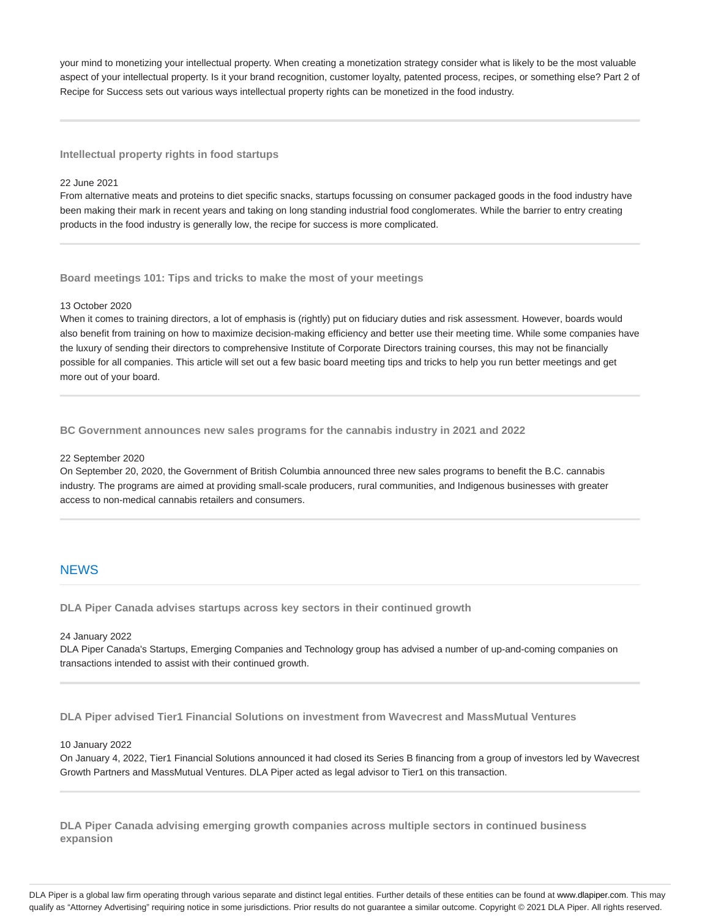your mind to monetizing your intellectual property. When creating a monetization strategy consider what is likely to be the most valuable aspect of your intellectual property. Is it your brand recognition, customer loyalty, patented process, recipes, or something else? Part 2 of Recipe for Success sets out various ways intellectual property rights can be monetized in the food industry.

#### **Intellectual property rights in food startups**

#### 22 June 2021

From alternative meats and proteins to diet specific snacks, startups focussing on consumer packaged goods in the food industry have been making their mark in recent years and taking on long standing industrial food conglomerates. While the barrier to entry creating products in the food industry is generally low, the recipe for success is more complicated.

#### **Board meetings 101: Tips and tricks to make the most of your meetings**

#### 13 October 2020

When it comes to training directors, a lot of emphasis is (rightly) put on fiduciary duties and risk assessment. However, boards would also benefit from training on how to maximize decision-making efficiency and better use their meeting time. While some companies have the luxury of sending their directors to comprehensive Institute of Corporate Directors training courses, this may not be financially possible for all companies. This article will set out a few basic board meeting tips and tricks to help you run better meetings and get more out of your board.

**BC Government announces new sales programs for the cannabis industry in 2021 and 2022**

#### 22 September 2020

On September 20, 2020, the Government of British Columbia announced three new sales programs to benefit the B.C. cannabis industry. The programs are aimed at providing small-scale producers, rural communities, and Indigenous businesses with greater access to non-medical cannabis retailers and consumers.

### **NEWS**

**DLA Piper Canada advises startups across key sectors in their continued growth**

#### 24 January 2022

DLA Piper Canada's Startups, Emerging Companies and Technology group has advised a number of up-and-coming companies on transactions intended to assist with their continued growth.

**DLA Piper advised Tier1 Financial Solutions on investment from Wavecrest and MassMutual Ventures**

#### 10 January 2022

On January 4, 2022, Tier1 Financial Solutions announced it had closed its Series B financing from a group of investors led by Wavecrest Growth Partners and MassMutual Ventures. DLA Piper acted as legal advisor to Tier1 on this transaction.

**DLA Piper Canada advising emerging growth companies across multiple sectors in continued business expansion**

DLA Piper is a global law firm operating through various separate and distinct legal entities. Further details of these entities can be found at www.dlapiper.com. This may qualify as "Attorney Advertising" requiring notice in some jurisdictions. Prior results do not guarantee a similar outcome. Copyright @ 2021 DLA Piper. All rights reserved.